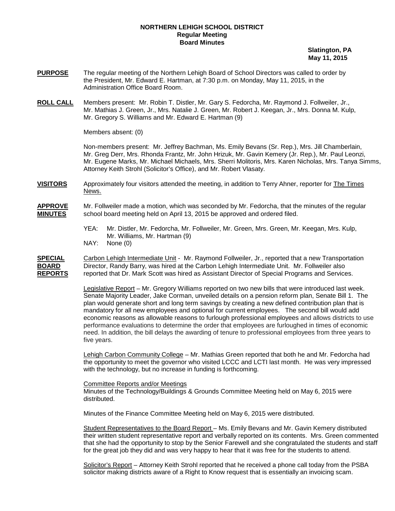#### **NORTHERN LEHIGH SCHOOL DISTRICT Regular Meeting Board Minutes**

 **Slatington, PA May 11, 2015**

- **PURPOSE** The regular meeting of the Northern Lehigh Board of School Directors was called to order by the President, Mr. Edward E. Hartman, at 7:30 p.m. on Monday, May 11, 2015, in the Administration Office Board Room.
- **ROLL CALL** Mr. Mathias J. Green, Jr., Mrs. Natalie J. Green, Mr. Robert J. Keegan, Jr., Mrs. Donna M. Kulp, Members present: Mr. Robin T. Distler, Mr. Gary S. Fedorcha, Mr. Raymond J. Follweiler, Jr., Mr. Gregory S. Williams and Mr. Edward E. Hartman (9)

Members absent: (0)

Non-members present: Mr. Jeffrey Bachman, Ms. Emily Bevans (Sr. Rep.), Mrs. Jill Chamberlain, Mr. Greg Derr, Mrs. Rhonda Frantz, Mr. John Hrizuk, Mr. Gavin Kemery (Jr. Rep.), Mr. Paul Leonzi, Mr. Eugene Marks, Mr. Michael Michaels, Mrs. Sherri Molitoris, Mrs. Karen Nicholas, Mrs. Tanya Simms, Attorney Keith Strohl (Solicitor's Office), and Mr. Robert Vlasaty.

**VISITORS** Approximately four visitors attended the meeting, in addition to Terry Ahner, reporter for The Times News.

**APPROVE** Mr. Follweiler made a motion, which was seconded by Mr. Fedorcha, that the minutes of the regular **MINUTES** school board meeting held on April 13, 2015 be approved and ordered filed.

- YEA: Mr. Distler, Mr. Fedorcha, Mr. Follweiler, Mr. Green, Mrs. Green, Mr. Keegan, Mrs. Kulp, Mr. Williams, Mr. Hartman (9)
- NAY: None (0)

**SPECIAL** Carbon Lehigh Intermediate Unit - Mr. Raymond Follweiler, Jr., reported that a new Transportation **BOARD** Director, Randy Barry, was hired at the Carbon Lehigh Intermediate Unit. Mr. Follweiler also<br>**REPORTS** reported that Dr. Mark Scott was hired as Assistant Director of Special Programs and Service reported that Dr. Mark Scott was hired as Assistant Director of Special Programs and Services.

> Legislative Report – Mr. Gregory Williams reported on two new bills that were introduced last week. Senate Majority Leader, Jake Corman, unveiled details on a pension reform plan, Senate Bill 1. The plan would generate short and long term savings by creating a new defined contribution plan that is mandatory for all new employees and optional for current employees. The second bill would add economic reasons as allowable reasons to furlough professional employees and allows districts to use performance evaluations to determine the order that employees are furloughed in times of economic need. In addition, the bill delays the awarding of tenure to professional employees from three years to five years.

> Lehigh Carbon Community College – Mr. Mathias Green reported that both he and Mr. Fedorcha had the opportunity to meet the governor who visited LCCC and LCTI last month. He was very impressed with the technology, but no increase in funding is forthcoming.

Committee Reports and/or Meetings

Minutes of the Technology/Buildings & Grounds Committee Meeting held on May 6, 2015 were distributed.

Minutes of the Finance Committee Meeting held on May 6, 2015 were distributed.

Student Representatives to the Board Report - Ms. Emily Bevans and Mr. Gavin Kemery distributed their written student representative report and verbally reported on its contents. Mrs. Green commented that she had the opportunity to stop by the Senior Farewell and she congratulated the students and staff for the great job they did and was very happy to hear that it was free for the students to attend.

Solicitor's Report – Attorney Keith Strohl reported that he received a phone call today from the PSBA solicitor making districts aware of a Right to Know request that is essentially an invoicing scam.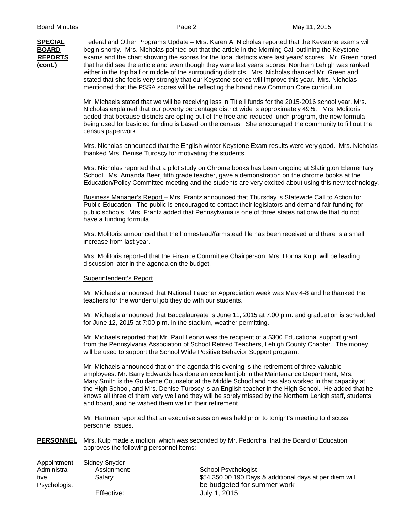**SPECIAL** Federal and Other Programs Update – Mrs. Karen A. Nicholas reported that the Keystone exams will **BOARD** begin shortly. Mrs. Nicholas pointed out that the article in the Morning Call outlining the Keystone **REPORTS** exams and the chart showing the scores for the local districts were last years' scores. Mr. Green noted **(cont.)** that he did see the article and even though they were last years' scores, Northern Lehigh was ranked either in the top half or middle of the surrounding districts. Mrs. Nicholas thanked Mr. Green and stated that she feels very strongly that our Keystone scores will improve this year. Mrs. Nicholas mentioned that the PSSA scores will be reflecting the brand new Common Core curriculum.

> Mr. Michaels stated that we will be receiving less in Title I funds for the 2015-2016 school year. Mrs. Nicholas explained that our poverty percentage district wide is approximately 49%. Mrs. Molitoris added that because districts are opting out of the free and reduced lunch program, the new formula being used for basic ed funding is based on the census. She encouraged the community to fill out the census paperwork.

Mrs. Nicholas announced that the English winter Keystone Exam results were very good. Mrs. Nicholas thanked Mrs. Denise Turoscy for motivating the students.

Mrs. Nicholas reported that a pilot study on Chrome books has been ongoing at Slatington Elementary School. Ms. Amanda Beer, fifth grade teacher, gave a demonstration on the chrome books at the Education/Policy Committee meeting and the students are very excited about using this new technology.

Business Manager's Report – Mrs. Frantz announced that Thursday is Statewide Call to Action for Public Education. The public is encouraged to contact their legislators and demand fair funding for public schools. Mrs. Frantz added that Pennsylvania is one of three states nationwide that do not have a funding formula.

Mrs. Molitoris announced that the homestead/farmstead file has been received and there is a small increase from last year.

Mrs. Molitoris reported that the Finance Committee Chairperson, Mrs. Donna Kulp, will be leading discussion later in the agenda on the budget.

#### Superintendent's Report

Mr. Michaels announced that National Teacher Appreciation week was May 4-8 and he thanked the teachers for the wonderful job they do with our students.

Mr. Michaels announced that Baccalaureate is June 11, 2015 at 7:00 p.m. and graduation is scheduled for June 12, 2015 at 7:00 p.m. in the stadium, weather permitting.

Mr. Michaels reported that Mr. Paul Leonzi was the recipient of a \$300 Educational support grant from the Pennsylvania Association of School Retired Teachers, Lehigh County Chapter. The money will be used to support the School Wide Positive Behavior Support program.

Mr. Michaels announced that on the agenda this evening is the retirement of three valuable employees: Mr. Barry Edwards has done an excellent job in the Maintenance Department, Mrs. Mary Smith is the Guidance Counselor at the Middle School and has also worked in that capacity at the High School, and Mrs. Denise Turoscy is an English teacher in the High School. He added that he knows all three of them very well and they will be sorely missed by the Northern Lehigh staff, students and board, and he wished them well in their retirement.

Mr. Hartman reported that an executive session was held prior to tonight's meeting to discuss personnel issues.

**PERSONNEL** Mrs. Kulp made a motion, which was seconded by Mr. Fedorcha, that the Board of Education approves the following personnel items:

| Appointment  | Sidney Snyder |                                                         |
|--------------|---------------|---------------------------------------------------------|
| Administra-  | Assignment:   | School Psychologist                                     |
| tive         | Salarv:       | \$54,350.00 190 Days & additional days at per diem will |
| Psychologist |               | be budgeted for summer work                             |
|              | Effective:    | July 1, 2015                                            |
|              |               |                                                         |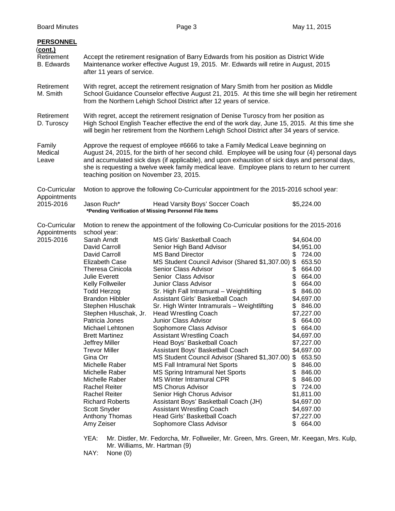| Accept the retirement resignation of Barry Edwards from his position as District Wide<br>Maintenance worker effective August 19, 2015. Mr. Edwards will retire in August, 2015<br>after 11 years of service.                                                                                                                                                                                                                                                                                         |                                                                                                                                                                                                                                                                                                                                                                                                                                                                                                                                                                                                                                                                                                                                                                                                                                                      |                                                                                                                                                                                                                                                                                                                                                                                       |  |
|------------------------------------------------------------------------------------------------------------------------------------------------------------------------------------------------------------------------------------------------------------------------------------------------------------------------------------------------------------------------------------------------------------------------------------------------------------------------------------------------------|------------------------------------------------------------------------------------------------------------------------------------------------------------------------------------------------------------------------------------------------------------------------------------------------------------------------------------------------------------------------------------------------------------------------------------------------------------------------------------------------------------------------------------------------------------------------------------------------------------------------------------------------------------------------------------------------------------------------------------------------------------------------------------------------------------------------------------------------------|---------------------------------------------------------------------------------------------------------------------------------------------------------------------------------------------------------------------------------------------------------------------------------------------------------------------------------------------------------------------------------------|--|
| With regret, accept the retirement resignation of Mary Smith from her position as Middle<br>School Guidance Counselor effective August 21, 2015. At this time she will begin her retirement<br>from the Northern Lehigh School District after 12 years of service.                                                                                                                                                                                                                                   |                                                                                                                                                                                                                                                                                                                                                                                                                                                                                                                                                                                                                                                                                                                                                                                                                                                      |                                                                                                                                                                                                                                                                                                                                                                                       |  |
| With regret, accept the retirement resignation of Denise Turoscy from her position as<br>High School English Teacher effective the end of the work day, June 15, 2015. At this time she<br>will begin her retirement from the Northern Lehigh School District after 34 years of service.                                                                                                                                                                                                             |                                                                                                                                                                                                                                                                                                                                                                                                                                                                                                                                                                                                                                                                                                                                                                                                                                                      |                                                                                                                                                                                                                                                                                                                                                                                       |  |
| Approve the request of employee #6666 to take a Family Medical Leave beginning on<br>August 24, 2015, for the birth of her second child. Employee will be using four (4) personal days<br>and accumulated sick days (if applicable), and upon exhaustion of sick days and personal days,<br>she is requesting a twelve week family medical leave. Employee plans to return to her current<br>teaching position on November 23, 2015.                                                                 |                                                                                                                                                                                                                                                                                                                                                                                                                                                                                                                                                                                                                                                                                                                                                                                                                                                      |                                                                                                                                                                                                                                                                                                                                                                                       |  |
| Motion to approve the following Co-Curricular appointment for the 2015-2016 school year:<br>Co-Curricular<br>Appointments<br>2015-2016<br>Jason Ruch*                                                                                                                                                                                                                                                                                                                                                |                                                                                                                                                                                                                                                                                                                                                                                                                                                                                                                                                                                                                                                                                                                                                                                                                                                      | \$5,224.00                                                                                                                                                                                                                                                                                                                                                                            |  |
|                                                                                                                                                                                                                                                                                                                                                                                                                                                                                                      |                                                                                                                                                                                                                                                                                                                                                                                                                                                                                                                                                                                                                                                                                                                                                                                                                                                      |                                                                                                                                                                                                                                                                                                                                                                                       |  |
| Co-Curricular<br>Motion to renew the appointment of the following Co-Curricular positions for the 2015-2016<br>Appointments<br>school year:                                                                                                                                                                                                                                                                                                                                                          |                                                                                                                                                                                                                                                                                                                                                                                                                                                                                                                                                                                                                                                                                                                                                                                                                                                      |                                                                                                                                                                                                                                                                                                                                                                                       |  |
| David Carroll<br>David Carroll<br>Elizabeth Case<br>Theresa Cinicola<br>Julie Everett<br><b>Kelly Follweiler</b><br><b>Todd Herzog</b><br><b>Brandon Hibbler</b><br>Stephen Hluschak<br>Stephen Hluschak, Jr.<br>Patricia Jones<br>Michael Lehtonen<br><b>Brett Martinez</b><br>Jeffrey Miller<br><b>Trevor Miller</b><br>Gina Orr<br>Michelle Raber<br>Michelle Raber<br>Michelle Raber<br><b>Rachel Reiter</b><br><b>Rachel Reiter</b><br><b>Richard Roberts</b><br>Scott Snyder<br>Anthony Thomas | Senior High Band Advisor<br><b>MS Band Director</b><br>MS Student Council Advisor (Shared \$1,307.00)<br>Senior Class Advisor<br>Senior Class Advisor<br>Junior Class Advisor<br>Sr. High Fall Intramural - Weightlifting<br>Assistant Girls' Basketball Coach<br>Sr. High Winter Intramurals - Weightlifting<br><b>Head Wrestling Coach</b><br>Junior Class Advisor<br>Sophomore Class Advisor<br><b>Assistant Wrestling Coach</b><br>Head Boys' Basketball Coach<br>Assistant Boys' Basketball Coach<br>MS Student Council Advisor (Shared \$1,307.00)<br><b>MS Fall Intramural Net Sports</b><br><b>MS Spring Intramural Net Sports</b><br><b>MS Winter Intramural CPR</b><br><b>MS Chorus Advisor</b><br>Senior High Chorus Advisor<br>Assistant Boys' Basketball Coach (JH)<br><b>Assistant Wrestling Coach</b><br>Head Girls' Basketball Coach | \$4,604.00<br>\$4,951.00<br>724.00<br>\$<br>\$<br>653.50<br>664.00<br>\$<br>\$<br>664.00<br>\$<br>664.00<br>\$<br>846.00<br>\$4,697.00<br>\$846.00<br>\$7,227.00<br>\$664.00<br>664.00<br>\$4,697.00<br>\$7,227.00<br>\$4,697.00<br>\$653.50<br>\$<br>846.00<br>\$<br>846.00<br>\$<br>846.00<br>\$<br>724.00<br>\$1,811.00<br>\$4,697.00<br>\$4,697.00<br>\$7,227.00<br>\$.<br>664.00 |  |
|                                                                                                                                                                                                                                                                                                                                                                                                                                                                                                      | Sarah Arndt<br>Amy Zeiser                                                                                                                                                                                                                                                                                                                                                                                                                                                                                                                                                                                                                                                                                                                                                                                                                            | Head Varsity Boys' Soccer Coach<br>*Pending Verification of Missing Personnel File Items<br><b>MS Girls' Basketball Coach</b><br>Sophomore Class Advisor                                                                                                                                                                                                                              |  |

YEA: Mr. Distler, Mr. Fedorcha, Mr. Follweiler, Mr. Green, Mrs. Green, Mr. Keegan, Mrs. Kulp, Mr. Williams, Mr. Hartman (9)

NAY: None (0)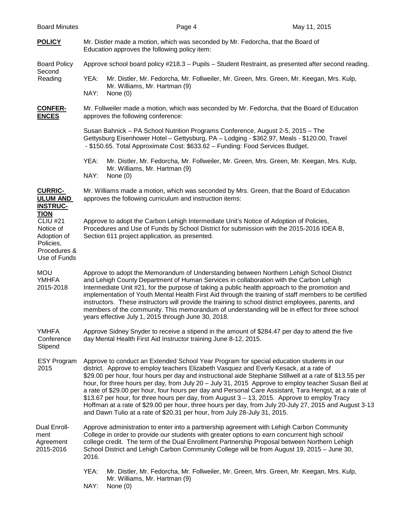- **POLICY** Mr. Distler made a motion, which was seconded by Mr. Fedorcha, that the Board of Education approves the following policy item: Board Policy Approve school board policy #218.3 – Pupils – Student Restraint, as presented after second reading. Second<br>Reading YEA: Mr. Distler, Mr. Fedorcha, Mr. Follweiler, Mr. Green, Mrs. Green, Mr. Keegan, Mrs. Kulp, Mr. Williams, Mr. Hartman (9) NAY: None (0) **CONFER-** Mr. Follweiler made a motion, which was seconded by Mr. Fedorcha, that the Board of Education **ENCES** approves the following conference: Susan Bahnick – PA School Nutrition Programs Conference, August 2-5, 2015 – The Gettysburg Eisenhower Hotel – Gettysburg, PA – Lodging - \$362.97, Meals - \$120.00, Travel - \$150.65. Total Approximate Cost: \$633.62 – Funding: Food Services Budget. YEA: Mr. Distler, Mr. Fedorcha, Mr. Follweiler, Mr. Green, Mrs. Green, Mr. Keegan, Mrs. Kulp, Mr. Williams, Mr. Hartman (9) NAY: None (0) **CURRIC-** Mr. Williams made a motion, which was seconded by Mrs. Green, that the Board of Education<br>**ULUM AND** approves the following curriculum and instruction items: approves the following curriculum and instruction items: **INSTRUC-TION** CLIU #21 Approve to adopt the Carbon Lehigh Intermediate Unit's Notice of Adoption of Policies,<br>Notice of Procedures and Use of Funds by School District for submission with the 2015-2016 IDE Notice of Procedures and Use of Funds by School District for submission with the 2015-2016 IDEA B,<br>Adoption of Section 611 project application, as presented. Section 611 project application, as presented. Policies, Procedures & Use of Funds MOU Approve to adopt the Memorandum of Understanding between Northern Lehigh School District<br>MHEA and Lehigh County Department of Human Services in collaboration with the Carbon Lehigh and Lehigh County Department of Human Services in collaboration with the Carbon Lehigh 2015-2018 Intermediate Unit #21, for the purpose of taking a public health approach to the promotion and implementation of Youth Mental Health First Aid through the training of staff members to be certified instructors. These instructors will provide the training to school district employees, parents, and members of the community. This memorandum of understanding will be in effect for three school years effective July 1, 2015 through June 30, 2018. YMHFA Approve Sidney Snyder to receive a stipend in the amount of \$284.47 per day to attend the five Conference day Mental Health First Aid Instructor training June 8-12, 2015. Stipend ESY Program Approve to conduct an Extended School Year Program for special education students in our 2015 district. Approve to employ teachers Elizabeth Vasquez and Everly Kesack, at a rate of \$29.00 per hour, four hours per day and instructional aide Stephanie Stillwell at a rate of \$13.55 per hour, for three hours per day, from July 20 – July 31, 2015 Approve to employ teacher Susan Beil at a rate of \$29.00 per hour, four hours per day and Personal Care Assistant, Tara Hengst, at a rate of \$13.67 per hour, for three hours per day, from August 3 – 13, 2015. Approve to employ Tracy Hoffman at a rate of \$29.00 per hour, three hours per day, from July 20-July 27, 2015 and August 3-13 and Dawn Tulio at a rate of \$20.31 per hour, from July 28-July 31, 2015. Dual Enroll- Approve administration to enter into a partnership agreement with Lehigh Carbon Community ment College in order to provide our students with greater options to earn concurrent high school/ Agreement college credit. The term of the Dual Enrollment Partnership Proposal between Northern Lehigh 2015-2016 School District and Lehigh Carbon Community College will be from August 19, 2015 – June 30, 2016.
	- YEA: Mr. Distler, Mr. Fedorcha, Mr. Follweiler, Mr. Green, Mrs. Green, Mr. Keegan, Mrs. Kulp, Mr. Williams, Mr. Hartman (9)
	- NAY: None (0)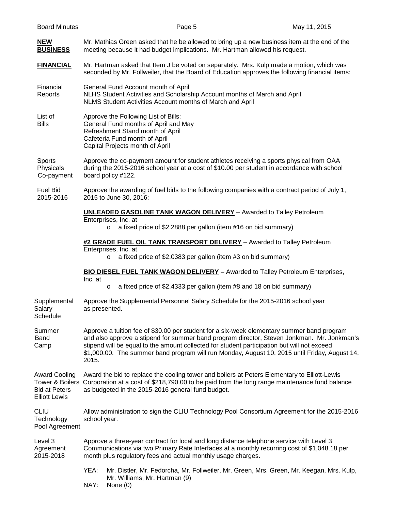### **NEW** Mr. Mathias Green asked that he be allowed to bring up a new business item at the end of the **BUSINESS** meeting because it had budget implications. Mr. Hartman allowed his request.

**FINANCIAL** Mr. Hartman asked that Item J be voted on separately. Mrs. Kulp made a motion, which was seconded by Mr. Follweiler, that the Board of Education approves the following financial items:

Financial General Fund Account month of April Reports NLHS Student Activities and Scholarship Account months of March and April NLMS Student Activities Account months of March and April

List of **Approve the Following List of Bills:** Bills General Fund months of April and May Refreshment Stand month of April Cafeteria Fund month of April Capital Projects month of April

Sports Approve the co-payment amount for student athletes receiving a sports physical from OAA<br>Physicals during the 2015-2016 school year at a cost of \$10.00 per student in accordance with school during the 2015-2016 school year at a cost of \$10.00 per student in accordance with school Co-payment board policy #122.

Fuel Bid Approve the awarding of fuel bids to the following companies with a contract period of July 1, 2015-2016 2015 to June 30, 2016:

#### **UNLEADED GASOLINE TANK WAGON DELIVERY** – Awarded to Talley Petroleum

- Enterprises, Inc. at
	- o a fixed price of \$2.2888 per gallon (item #16 on bid summary)

#### **#2 GRADE FUEL OIL TANK TRANSPORT DELIVERY** – Awarded to Talley Petroleum

Enterprises, Inc. at

o a fixed price of \$2.0383 per gallon (item #3 on bid summary)

**BIO DIESEL FUEL TANK WAGON DELIVERY** – Awarded to Talley Petroleum Enterprises, Inc. at

- o a fixed price of \$2.4333 per gallon (item #8 and 18 on bid summary)
- Supplemental Approve the Supplemental Personnel Salary Schedule for the 2015-2016 school year<br>Salary as presented. as presented. **Schedule**
- Summer Summer Approve a tuition fee of \$30.00 per student for a six-week elementary summer band program<br>Band Band also approve a stipend for summer band program director. Steven Jonkman. Mr. Jonkma and also approve a stipend for summer band program director, Steven Jonkman. Mr. Jonkman's Camp stipend will be equal to the amount collected for student participation but will not exceed \$1,000.00. The summer band program will run Monday, August 10, 2015 until Friday, August 14, 2015.

Award Cooling Award the bid to replace the cooling tower and boilers at Peters Elementary to Elliott-Lewis Tower & Boilers Corporation at a cost of \$218,790.00 to be paid from the long range maintenance fund balance Bid at Peters as budgeted in the 2015-2016 general fund budget. Elliott Lewis

CLIU Allow administration to sign the CLIU Technology Pool Consortium Agreement for the 2015-2016 Technology school year.

Pool Agreement

Level 3 Approve a three-year contract for local and long distance telephone service with Level 3 Agreement Communications via two Primary Rate Interfaces at a monthly recurring cost of \$1,048.18 per 2015-2018 month plus regulatory fees and actual monthly usage charges.

- YEA: Mr. Distler, Mr. Fedorcha, Mr. Follweiler, Mr. Green, Mrs. Green, Mr. Keegan, Mrs. Kulp, Mr. Williams, Mr. Hartman (9)
- NAY: None (0)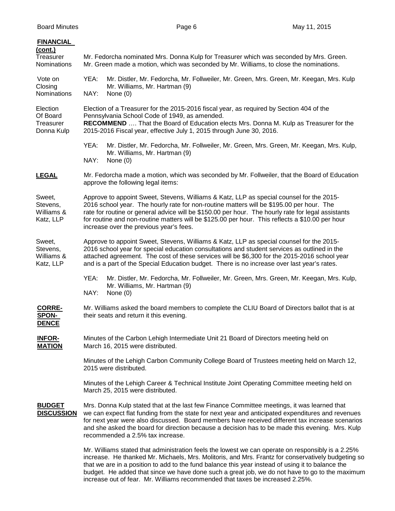| <b>FINANCIAL</b><br>(cont.)<br>Treasurer<br>Nominations | Mr. Fedorcha nominated Mrs. Donna Kulp for Treasurer which was seconded by Mrs. Green.<br>Mr. Green made a motion, which was seconded by Mr. Williams, to close the nominations.                                                                                                                                                                                                                                                           |  |  |
|---------------------------------------------------------|--------------------------------------------------------------------------------------------------------------------------------------------------------------------------------------------------------------------------------------------------------------------------------------------------------------------------------------------------------------------------------------------------------------------------------------------|--|--|
| Vote on<br>Closing<br>Nominations                       | YEA:<br>Mr. Distler, Mr. Fedorcha, Mr. Follweiler, Mr. Green, Mrs. Green, Mr. Keegan, Mrs. Kulp<br>Mr. Williams, Mr. Hartman (9)<br>NAY:<br>None $(0)$                                                                                                                                                                                                                                                                                     |  |  |
| Election<br>Of Board<br>Treasurer<br>Donna Kulp         | Election of a Treasurer for the 2015-2016 fiscal year, as required by Section 404 of the<br>Pennsylvania School Code of 1949, as amended.<br>RECOMMEND  That the Board of Education elects Mrs. Donna M. Kulp as Treasurer for the<br>2015-2016 Fiscal year, effective July 1, 2015 through June 30, 2016.                                                                                                                                 |  |  |
|                                                         | YEA:<br>Mr. Distler, Mr. Fedorcha, Mr. Follweiler, Mr. Green, Mrs. Green, Mr. Keegan, Mrs. Kulp,<br>Mr. Williams, Mr. Hartman (9)<br>NAY:<br>None $(0)$                                                                                                                                                                                                                                                                                    |  |  |
| <b>LEGAL</b>                                            | Mr. Fedorcha made a motion, which was seconded by Mr. Follweiler, that the Board of Education<br>approve the following legal items:                                                                                                                                                                                                                                                                                                        |  |  |
| Sweet,<br>Stevens,<br>Williams &<br>Katz, LLP           | Approve to appoint Sweet, Stevens, Williams & Katz, LLP as special counsel for the 2015-<br>2016 school year. The hourly rate for non-routine matters will be \$195.00 per hour. The<br>rate for routine or general advice will be \$150.00 per hour. The hourly rate for legal assistants<br>for routine and non-routine matters will be \$125.00 per hour. This reflects a \$10.00 per hour<br>increase over the previous year's fees.   |  |  |
| Sweet,<br>Stevens,<br>Williams &<br>Katz, LLP           | Approve to appoint Sweet, Stevens, Williams & Katz, LLP as special counsel for the 2015-<br>2016 school year for special education consultations and student services as outlined in the<br>attached agreement. The cost of these services will be \$6,300 for the 2015-2016 school year<br>and is a part of the Special Education budget. There is no increase over last year's rates.                                                    |  |  |
|                                                         | YEA:<br>Mr. Distler, Mr. Fedorcha, Mr. Follweiler, Mr. Green, Mrs. Green, Mr. Keegan, Mrs. Kulp,<br>Mr. Williams, Mr. Hartman (9)<br>NAY:<br>None $(0)$                                                                                                                                                                                                                                                                                    |  |  |
| <b>CORRE-</b><br><b>SPON-</b><br><b>DENCE</b>           | Mr. Williams asked the board members to complete the CLIU Board of Directors ballot that is at<br>their seats and return it this evening.                                                                                                                                                                                                                                                                                                  |  |  |
| <b>INFOR-</b><br><b>MATION</b>                          | Minutes of the Carbon Lehigh Intermediate Unit 21 Board of Directors meeting held on<br>March 16, 2015 were distributed.                                                                                                                                                                                                                                                                                                                   |  |  |
|                                                         | Minutes of the Lehigh Carbon Community College Board of Trustees meeting held on March 12,<br>2015 were distributed.                                                                                                                                                                                                                                                                                                                       |  |  |
|                                                         | Minutes of the Lehigh Career & Technical Institute Joint Operating Committee meeting held on<br>March 25, 2015 were distributed.                                                                                                                                                                                                                                                                                                           |  |  |
| <b>BUDGET</b><br><b>DISCUSSION</b>                      | Mrs. Donna Kulp stated that at the last few Finance Committee meetings, it was learned that<br>we can expect flat funding from the state for next year and anticipated expenditures and revenues<br>for next year were also discussed. Board members have received different tax increase scenarios<br>and she asked the board for direction because a decision has to be made this evening. Mrs. Kulp<br>recommended a 2.5% tax increase. |  |  |
|                                                         | Mr. Williams stated that administration feels the lowest we can operate on responsibly is a 2.25%<br>increase. He thanked Mr. Michaels, Mrs. Molitoris, and Mrs. Frantz for conservatively budgeting so<br>that we are in a position to add to the fund balance this year instead of using it to balance the<br>budget. He added that since we have done such a great job, we do not have to go to the maximum                             |  |  |

increase out of fear. Mr. Williams recommended that taxes be increased 2.25%.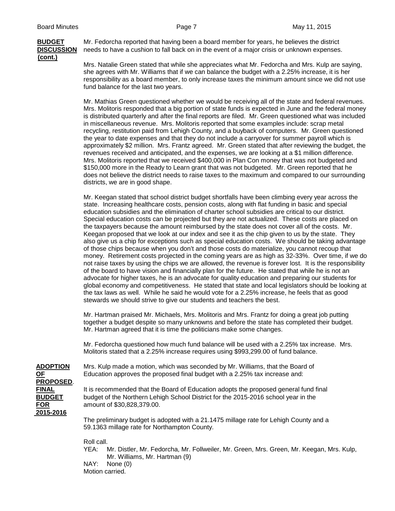# **(cont.)**

**BUDGET** Mr. Fedorcha reported that having been a board member for years, he believes the district **DISCUSSION** needs to have a cushion to fall back on in the event of a major crisis or unknown expenses.

> Mrs. Natalie Green stated that while she appreciates what Mr. Fedorcha and Mrs. Kulp are saying, she agrees with Mr. Williams that if we can balance the budget with a 2.25% increase, it is her responsibility as a board member, to only increase taxes the minimum amount since we did not use fund balance for the last two years.

> Mr. Mathias Green questioned whether we would be receiving all of the state and federal revenues. Mrs. Molitoris responded that a big portion of state funds is expected in June and the federal money is distributed quarterly and after the final reports are filed. Mr. Green questioned what was included in miscellaneous revenue. Mrs. Molitoris reported that some examples include: scrap metal recycling, restitution paid from Lehigh County, and a buyback of computers. Mr. Green questioned the year to date expenses and that they do not include a carryover for summer payroll which is approximately \$2 million. Mrs. Frantz agreed. Mr. Green stated that after reviewing the budget, the revenues received and anticipated, and the expenses, we are looking at a \$1 million difference. Mrs. Molitoris reported that we received \$400,000 in Plan Con money that was not budgeted and \$150,000 more in the Ready to Learn grant that was not budgeted. Mr. Green reported that he does not believe the district needs to raise taxes to the maximum and compared to our surrounding districts, we are in good shape.

> Mr. Keegan stated that school district budget shortfalls have been climbing every year across the state. Increasing healthcare costs, pension costs, along with flat funding in basic and special education subsidies and the elimination of charter school subsidies are critical to our district. Special education costs can be projected but they are not actualized. These costs are placed on the taxpayers because the amount reimbursed by the state does not cover all of the costs. Mr. Keegan proposed that we look at our index and see it as the chip given to us by the state. They also give us a chip for exceptions such as special education costs. We should be taking advantage of those chips because when you don't and those costs do materialize, you cannot recoup that money. Retirement costs projected in the coming years are as high as 32-33%. Over time, if we do not raise taxes by using the chips we are allowed, the revenue is forever lost. It is the responsibility of the board to have vision and financially plan for the future. He stated that while he is not an advocate for higher taxes, he is an advocate for quality education and preparing our students for global economy and competitiveness. He stated that state and local legislators should be looking at the tax laws as well. While he said he would vote for a 2.25% increase, he feels that as good stewards we should strive to give our students and teachers the best.

Mr. Hartman praised Mr. Michaels, Mrs. Molitoris and Mrs. Frantz for doing a great job putting together a budget despite so many unknowns and before the state has completed their budget. Mr. Hartman agreed that it is time the politicians make some changes.

Mr. Fedorcha questioned how much fund balance will be used with a 2.25% tax increase. Mrs. Molitoris stated that a 2.25% increase requires using \$993,299.00 of fund balance.

**PROPOSED**. **2015-2016**

**ADOPTION** Mrs. Kulp made a motion, which was seconded by Mr. Williams, that the Board of **OF** Education approves the proposed final budget with a 2.25% tax increase and:

**FINAL** It is recommended that the Board of Education adopts the proposed general fund final<br>**BUDGET** budget of the Northern Lehigh School District for the 2015-2016 school year in the **BUDGET** budget of the Northern Lehigh School District for the 2015-2016 school year in the **FOR** amount of \$30,828,379.00.

> The preliminary budget is adopted with a 21.1475 millage rate for Lehigh County and a 59.1363 millage rate for Northampton County.

## Roll call.<br>YEA: |

- Mr. Distler, Mr. Fedorcha, Mr. Follweiler, Mr. Green, Mrs. Green, Mr. Keegan, Mrs. Kulp, Mr. Williams, Mr. Hartman (9)
- NAY: None (0)

Motion carried.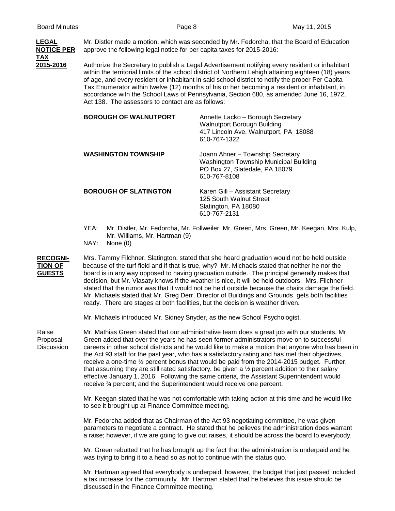

of age, and every resident or inhabitant in said school district to notify the proper Per Capita Tax Enumerator within twelve (12) months of his or her becoming a resident or inhabitant, in accordance with the School Laws of Pennsylvania, Section 680, as amended June 16, 1972, Act 138. The assessors to contact are as follows:

| <b>BOROUGH OF WALNUTPORT</b> | Annette Lacko - Borough Secretary<br><b>Walnutport Borough Building</b><br>417 Lincoln Ave. Walnutport, PA 18088<br>610-767-1322 |
|------------------------------|----------------------------------------------------------------------------------------------------------------------------------|
| <b>WASHINGTON TOWNSHIP</b>   | Joann Ahner - Township Secretary<br>Washington Township Municipal Building<br>PO Box 27, Slatedale, PA 18079<br>610-767-8108     |
| <b>BOROUGH OF SLATINGTON</b> | Karen Gill - Assistant Secretary<br>125 South Walnut Street<br>Slatington, PA 18080<br>610-767-2131                              |

- YEA: Mr. Distler, Mr. Fedorcha, Mr. Follweiler, Mr. Green, Mrs. Green, Mr. Keegan, Mrs. Kulp, Mr. Williams, Mr. Hartman (9)
- NAY: None (0)

**RECOGNI-** Mrs. Tammy Filchner, Slatington, stated that she heard graduation would not be held outside **TION OF** because of the turf field and if that is true, why? Mr. Michaels stated that neither he nor the **GUESTS** board is in any way opposed to having graduation outside. The principal generally makes the board is in any way opposed to having graduation outside. The principal generally makes that decision, but Mr. Vlasaty knows if the weather is nice, it will be held outdoors. Mrs. Filchner stated that the rumor was that it would not be held outside because the chairs damage the field. Mr. Michaels stated that Mr. Greg Derr, Director of Buildings and Grounds, gets both facilities ready. There are stages at both facilities, but the decision is weather driven.

Mr. Michaels introduced Mr. Sidney Snyder, as the new School Psychologist.

Raise Mr. Mathias Green stated that our administrative team does a great job with our students. Mr. Proposal Green added that over the years he has seen former administrators move on to successful Discussion careers in other school districts and he would like to make a motion that anyone who has been in the Act 93 staff for the past year, who has a satisfactory rating and has met their objectives, receive a one-time ½ percent bonus that would be paid from the 2014-2015 budget. Further, that assuming they are still rated satisfactory, be given a  $\frac{1}{2}$  percent addition to their salary effective January 1, 2016. Following the same criteria, the Assistant Superintendent would receive ¾ percent; and the Superintendent would receive one percent.

> Mr. Keegan stated that he was not comfortable with taking action at this time and he would like to see it brought up at Finance Committee meeting.

> Mr. Fedorcha added that as Chairman of the Act 93 negotiating committee, he was given parameters to negotiate a contract. He stated that he believes the administration does warrant a raise; however, if we are going to give out raises, it should be across the board to everybody.

Mr. Green rebutted that he has brought up the fact that the administration is underpaid and he was trying to bring it to a head so as not to continue with the status quo.

Mr. Hartman agreed that everybody is underpaid; however, the budget that just passed included a tax increase for the community. Mr. Hartman stated that he believes this issue should be discussed in the Finance Committee meeting.